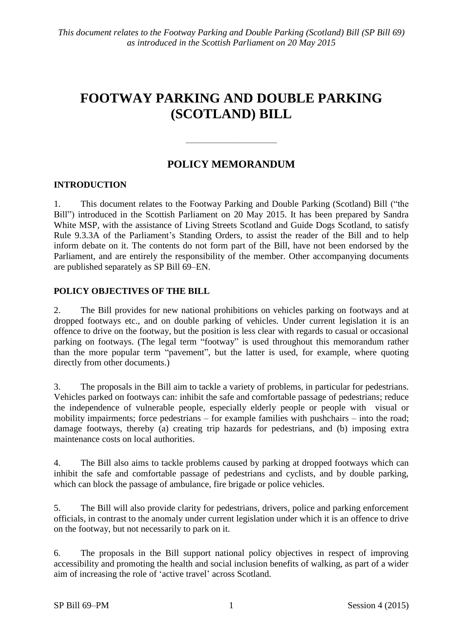# **FOOTWAY PARKING AND DOUBLE PARKING (SCOTLAND) BILL**

# **POLICY MEMORANDUM**

 $\frac{1}{\sqrt{2}}$ 

# **INTRODUCTION**

1. This document relates to the Footway Parking and Double Parking (Scotland) Bill ("the Bill") introduced in the Scottish Parliament on 20 May 2015. It has been prepared by Sandra White MSP, with the assistance of Living Streets Scotland and Guide Dogs Scotland, to satisfy Rule 9.3.3A of the Parliament's Standing Orders, to assist the reader of the Bill and to help inform debate on it. The contents do not form part of the Bill, have not been endorsed by the Parliament, and are entirely the responsibility of the member. Other accompanying documents are published separately as SP Bill 69–EN.

# **POLICY OBJECTIVES OF THE BILL**

2. The Bill provides for new national prohibitions on vehicles parking on footways and at dropped footways etc., and on double parking of vehicles. Under current legislation it is an offence to drive on the footway, but the position is less clear with regards to casual or occasional parking on footways. (The legal term "footway" is used throughout this memorandum rather than the more popular term "pavement", but the latter is used, for example, where quoting directly from other documents.)

3. The proposals in the Bill aim to tackle a variety of problems, in particular for pedestrians. Vehicles parked on footways can: inhibit the safe and comfortable passage of pedestrians; reduce the independence of vulnerable people, especially elderly people or people with visual or mobility impairments; force pedestrians – for example families with pushchairs – into the road; damage footways, thereby (a) creating trip hazards for pedestrians, and (b) imposing extra maintenance costs on local authorities.

4. The Bill also aims to tackle problems caused by parking at dropped footways which can inhibit the safe and comfortable passage of pedestrians and cyclists, and by double parking, which can block the passage of ambulance, fire brigade or police vehicles.

5. The Bill will also provide clarity for pedestrians, drivers, police and parking enforcement officials, in contrast to the anomaly under current legislation under which it is an offence to drive on the footway, but not necessarily to park on it.

6. The proposals in the Bill support national policy objectives in respect of improving accessibility and promoting the health and social inclusion benefits of walking, as part of a wider aim of increasing the role of 'active travel' across Scotland.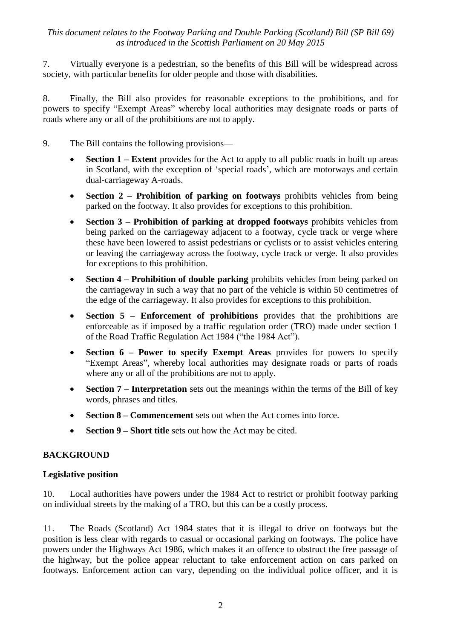7. Virtually everyone is a pedestrian, so the benefits of this Bill will be widespread across society, with particular benefits for older people and those with disabilities.

8. Finally, the Bill also provides for reasonable exceptions to the prohibitions, and for powers to specify "Exempt Areas" whereby local authorities may designate roads or parts of roads where any or all of the prohibitions are not to apply.

- 9. The Bill contains the following provisions—
	- **Section 1 – Extent** provides for the Act to apply to all public roads in built up areas in Scotland, with the exception of 'special roads', which are motorways and certain dual-carriageway A-roads.
	- **Section 2 Prohibition of parking on footways** prohibits vehicles from being parked on the footway. It also provides for exceptions to this prohibition.
	- **Section 3 – Prohibition of parking at dropped footways** prohibits vehicles from being parked on the carriageway adjacent to a footway, cycle track or verge where these have been lowered to assist pedestrians or cyclists or to assist vehicles entering or leaving the carriageway across the footway, cycle track or verge. It also provides for exceptions to this prohibition.
	- **Section 4 Prohibition of double parking** prohibits vehicles from being parked on the carriageway in such a way that no part of the vehicle is within 50 centimetres of the edge of the carriageway. It also provides for exceptions to this prohibition.
	- **Section 5 Enforcement of prohibitions** provides that the prohibitions are enforceable as if imposed by a traffic regulation order (TRO) made under section 1 of the Road Traffic Regulation Act 1984 ("the 1984 Act").
	- **Section 6 – Power to specify Exempt Areas** provides for powers to specify ―Exempt Areas‖, whereby local authorities may designate roads or parts of roads where any or all of the prohibitions are not to apply.
	- **Section 7 – Interpretation** sets out the meanings within the terms of the Bill of key words, phrases and titles.
	- **Section 8 – Commencement** sets out when the Act comes into force.
	- **Section 9 – Short title** sets out how the Act may be cited.

# **BACKGROUND**

# **Legislative position**

10. Local authorities have powers under the 1984 Act to restrict or prohibit footway parking on individual streets by the making of a TRO, but this can be a costly process.

11. The Roads (Scotland) Act 1984 states that it is illegal to drive on footways but the position is less clear with regards to casual or occasional parking on footways. The police have powers under the Highways Act 1986, which makes it an offence to obstruct the free passage of the highway, but the police appear reluctant to take enforcement action on cars parked on footways. Enforcement action can vary, depending on the individual police officer, and it is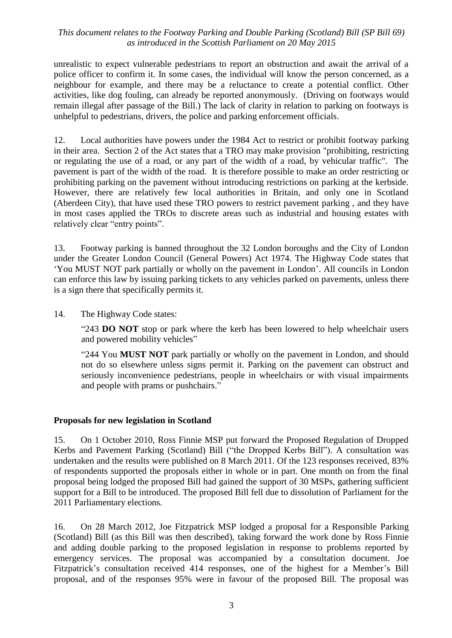unrealistic to expect vulnerable pedestrians to report an obstruction and await the arrival of a police officer to confirm it. In some cases, the individual will know the person concerned, as a neighbour for example, and there may be a reluctance to create a potential conflict. Other activities, like dog fouling, can already be reported anonymously. (Driving on footways would remain illegal after passage of the Bill.) The lack of clarity in relation to parking on footways is unhelpful to pedestrians, drivers, the police and parking enforcement officials.

12. Local authorities have powers under the 1984 Act to restrict or prohibit footway parking in their area. Section 2 of the Act states that a TRO may make provision "prohibiting, restricting or regulating the use of a road, or any part of the width of a road, by vehicular traffic". The pavement is part of the width of the road. It is therefore possible to make an order restricting or prohibiting parking on the pavement without introducing restrictions on parking at the kerbside. However, there are relatively few local authorities in Britain, and only one in Scotland (Aberdeen City), that have used these TRO powers to restrict pavement parking , and they have in most cases applied the TROs to discrete areas such as industrial and housing estates with relatively clear "entry points".

13. Footway parking is banned throughout the 32 London boroughs and the City of London under the Greater London Council (General Powers) Act 1974. The Highway Code states that ‗You MUST NOT park partially or wholly on the pavement in London'. All councils in London can enforce this law by issuing parking tickets to any vehicles parked on pavements, unless there is a sign there that specifically permits it.

14. The Highway Code states:

"243 **DO NOT** stop or park where the kerb has been lowered to help wheelchair users and powered mobility vehicles"

"244 You **MUST NOT** park partially or wholly on the pavement in London, and should not do so elsewhere unless signs permit it. Parking on the pavement can obstruct and seriously inconvenience pedestrians, people in wheelchairs or with visual impairments and people with prams or pushchairs."

# **Proposals for new legislation in Scotland**

15. On 1 October 2010, Ross Finnie MSP put forward the Proposed Regulation of Dropped Kerbs and Pavement Parking (Scotland) Bill ("the Dropped Kerbs Bill"). A consultation was undertaken and the results were published on 8 March 2011. Of the 123 responses received, 83% of respondents supported the proposals either in whole or in part. One month on from the final proposal being lodged the proposed Bill had gained the support of 30 MSPs, gathering sufficient support for a Bill to be introduced. The proposed Bill fell due to dissolution of Parliament for the 2011 Parliamentary elections.

16. On 28 March 2012, Joe Fitzpatrick MSP lodged a proposal for a Responsible Parking (Scotland) Bill (as this Bill was then described), taking forward the work done by Ross Finnie and adding double parking to the proposed legislation in response to problems reported by emergency services. The proposal was accompanied by a consultation document. Joe Fitzpatrick's consultation received 414 responses, one of the highest for a Member's Bill proposal, and of the responses 95% were in favour of the proposed Bill. The proposal was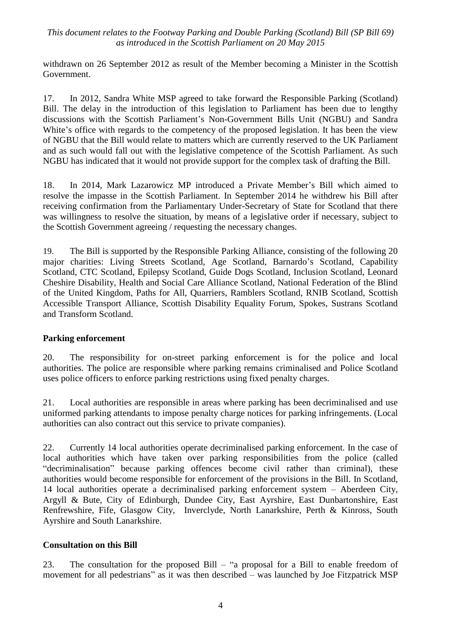withdrawn on 26 September 2012 as result of the Member becoming a Minister in the Scottish Government.

17. In 2012, Sandra White MSP agreed to take forward the Responsible Parking (Scotland) Bill. The delay in the introduction of this legislation to Parliament has been due to lengthy discussions with the Scottish Parliament's Non-Government Bills Unit (NGBU) and Sandra White's office with regards to the competency of the proposed legislation. It has been the view of NGBU that the Bill would relate to matters which are currently reserved to the UK Parliament and as such would fall out with the legislative competence of the Scottish Parliament. As such NGBU has indicated that it would not provide support for the complex task of drafting the Bill.

18. In 2014, Mark Lazarowicz MP introduced a Private Member's Bill which aimed to resolve the impasse in the Scottish Parliament. In September 2014 he withdrew his Bill after receiving confirmation from the Parliamentary Under-Secretary of State for Scotland that there was willingness to resolve the situation, by means of a legislative order if necessary, subject to the Scottish Government agreeing / requesting the necessary changes.

19. The Bill is supported by the Responsible Parking Alliance, consisting of the following 20 major charities: Living Streets Scotland, Age Scotland, Barnardo's Scotland, Capability Scotland, CTC Scotland, Epilepsy Scotland, Guide Dogs Scotland, Inclusion Scotland, Leonard Cheshire Disability, Health and Social Care Alliance Scotland, National Federation of the Blind of the United Kingdom, Paths for All, Quarriers, Ramblers Scotland, RNIB Scotland, Scottish Accessible Transport Alliance, Scottish Disability Equality Forum, Spokes, Sustrans Scotland and Transform Scotland.

# **Parking enforcement**

20. The responsibility for on-street parking enforcement is for the police and local authorities. The police are responsible where parking remains criminalised and Police Scotland uses police officers to enforce parking restrictions using fixed penalty charges.

21. Local authorities are responsible in areas where parking has been decriminalised and use uniformed parking attendants to impose penalty charge notices for parking infringements. (Local authorities can also contract out this service to private companies).

22. Currently 14 local authorities operate decriminalised parking enforcement. In the case of local authorities which have taken over parking responsibilities from the police (called "decriminalisation" because parking offences become civil rather than criminal), these authorities would become responsible for enforcement of the provisions in the Bill. In Scotland, 14 local authorities operate a decriminalised parking enforcement system – Aberdeen City, Argyll & Bute, City of Edinburgh, Dundee City, East Ayrshire, East Dunbartonshire, East Renfrewshire, Fife, Glasgow City, Inverclyde, North Lanarkshire, Perth & Kinross, South Ayrshire and South Lanarkshire.

# **Consultation on this Bill**

23. The consultation for the proposed Bill – "a proposal for a Bill to enable freedom of movement for all pedestrians" as it was then described – was launched by Joe Fitzpatrick MSP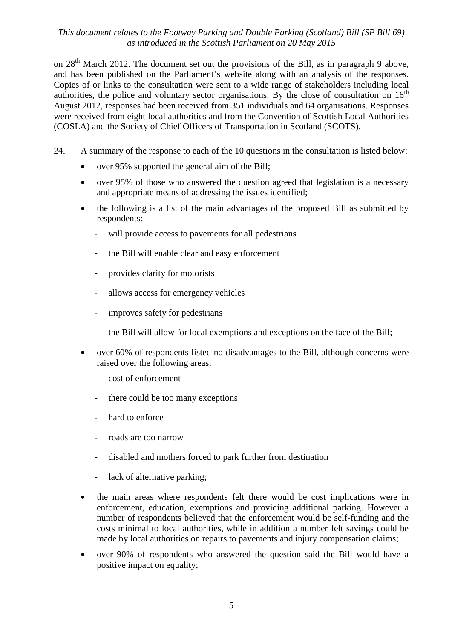on  $28<sup>th</sup>$  March 2012. The document set out the provisions of the Bill, as in paragraph 9 above, and has been published on the Parliament's website along with an analysis of the responses. Copies of or links to the consultation were sent to a wide range of stakeholders including local authorities, the police and voluntary sector organisations. By the close of consultation on  $16<sup>th</sup>$ August 2012, responses had been received from 351 individuals and 64 organisations. Responses were received from eight local authorities and from the Convention of Scottish Local Authorities (COSLA) and the Society of Chief Officers of Transportation in Scotland (SCOTS).

- 24. A summary of the response to each of the 10 questions in the consultation is listed below:
	- over 95% supported the general aim of the Bill;
	- over 95% of those who answered the question agreed that legislation is a necessary and appropriate means of addressing the issues identified;
	- the following is a list of the main advantages of the proposed Bill as submitted by respondents:
		- will provide access to pavements for all pedestrians
		- the Bill will enable clear and easy enforcement
		- provides clarity for motorists
		- allows access for emergency vehicles
		- improves safety for pedestrians
		- the Bill will allow for local exemptions and exceptions on the face of the Bill;
	- over 60% of respondents listed no disadvantages to the Bill, although concerns were raised over the following areas:
		- cost of enforcement
		- there could be too many exceptions
		- hard to enforce
		- roads are too narrow
		- disabled and mothers forced to park further from destination
		- lack of alternative parking;
	- the main areas where respondents felt there would be cost implications were in enforcement, education, exemptions and providing additional parking. However a number of respondents believed that the enforcement would be self-funding and the costs minimal to local authorities, while in addition a number felt savings could be made by local authorities on repairs to pavements and injury compensation claims;
	- over 90% of respondents who answered the question said the Bill would have a positive impact on equality;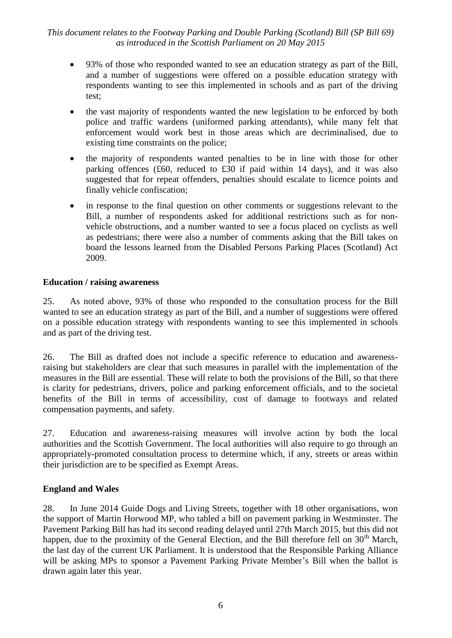- 93% of those who responded wanted to see an education strategy as part of the Bill, and a number of suggestions were offered on a possible education strategy with respondents wanting to see this implemented in schools and as part of the driving test;
- the vast majority of respondents wanted the new legislation to be enforced by both police and traffic wardens (uniformed parking attendants), while many felt that enforcement would work best in those areas which are decriminalised, due to existing time constraints on the police;
- the majority of respondents wanted penalties to be in line with those for other parking offences (£60, reduced to £30 if paid within 14 days), and it was also suggested that for repeat offenders, penalties should escalate to licence points and finally vehicle confiscation;
- in response to the final question on other comments or suggestions relevant to the Bill, a number of respondents asked for additional restrictions such as for nonvehicle obstructions, and a number wanted to see a focus placed on cyclists as well as pedestrians; there were also a number of comments asking that the Bill takes on board the lessons learned from the Disabled Persons Parking Places (Scotland) Act 2009.

#### **Education / raising awareness**

25. As noted above, 93% of those who responded to the consultation process for the Bill wanted to see an education strategy as part of the Bill, and a number of suggestions were offered on a possible education strategy with respondents wanting to see this implemented in schools and as part of the driving test.

26. The Bill as drafted does not include a specific reference to education and awarenessraising but stakeholders are clear that such measures in parallel with the implementation of the measures in the Bill are essential. These will relate to both the provisions of the Bill, so that there is clarity for pedestrians, drivers, police and parking enforcement officials, and to the societal benefits of the Bill in terms of accessibility, cost of damage to footways and related compensation payments, and safety.

27. Education and awareness-raising measures will involve action by both the local authorities and the Scottish Government. The local authorities will also require to go through an appropriately-promoted consultation process to determine which, if any, streets or areas within their jurisdiction are to be specified as Exempt Areas.

# **England and Wales**

28. In June 2014 Guide Dogs and Living Streets, together with 18 other organisations, won the support of Martin Horwood MP, who tabled a bill on pavement parking in Westminster. The Pavement Parking Bill has had its second reading delayed until 27th March 2015, but this did not happen, due to the proximity of the General Election, and the Bill therefore fell on  $30<sup>th</sup>$  March, the last day of the current UK Parliament. It is understood that the Responsible Parking Alliance will be asking MPs to sponsor a Pavement Parking Private Member's Bill when the ballot is drawn again later this year.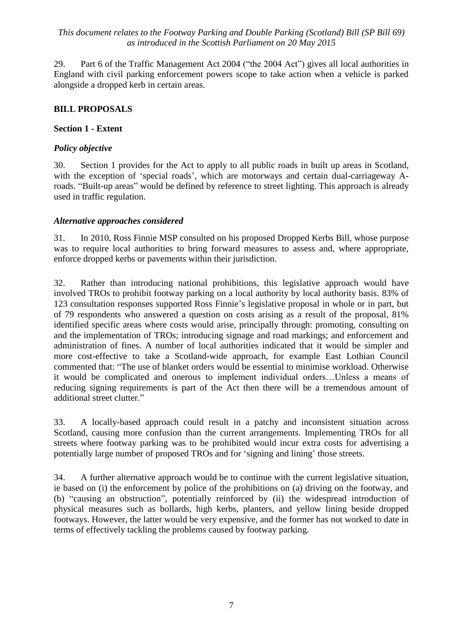29. Part 6 of the Traffic Management Act 2004 ("the 2004 Act") gives all local authorities in England with civil parking enforcement powers scope to take action when a vehicle is parked alongside a dropped kerb in certain areas.

# **BILL PROPOSALS**

# **Section 1 - Extent**

# *Policy objective*

30. Section 1 provides for the Act to apply to all public roads in built up areas in Scotland, with the exception of 'special roads', which are motorways and certain dual-carriageway Aroads. "Built-up areas" would be defined by reference to street lighting. This approach is already used in traffic regulation.

# *Alternative approaches considered*

31. In 2010, Ross Finnie MSP consulted on his proposed Dropped Kerbs Bill, whose purpose was to require local authorities to bring forward measures to assess and, where appropriate, enforce dropped kerbs or pavements within their jurisdiction.

32. Rather than introducing national prohibitions, this legislative approach would have involved TROs to prohibit footway parking on a local authority by local authority basis. 83% of 123 consultation responses supported Ross Finnie's legislative proposal in whole or in part, but of 79 respondents who answered a question on costs arising as a result of the proposal, 81% identified specific areas where costs would arise, principally through: promoting, consulting on and the implementation of TROs; introducing signage and road markings; and enforcement and administration of fines. A number of local authorities indicated that it would be simpler and more cost-effective to take a Scotland-wide approach, for example East Lothian Council commented that: "The use of blanket orders would be essential to minimise workload. Otherwise it would be complicated and onerous to implement individual orders…Unless a means of reducing signing requirements is part of the Act then there will be a tremendous amount of additional street clutter."

33. A locally-based approach could result in a patchy and inconsistent situation across Scotland, causing more confusion than the current arrangements. Implementing TROs for all streets where footway parking was to be prohibited would incur extra costs for advertising a potentially large number of proposed TROs and for 'signing and lining' those streets.

34. A further alternative approach would be to continue with the current legislative situation, ie based on (i) the enforcement by police of the prohibitions on (a) driving on the footway, and (b) "causing an obstruction", potentially reinforced by (ii) the widespread introduction of physical measures such as bollards, high kerbs, planters, and yellow lining beside dropped footways. However, the latter would be very expensive, and the former has not worked to date in terms of effectively tackling the problems caused by footway parking.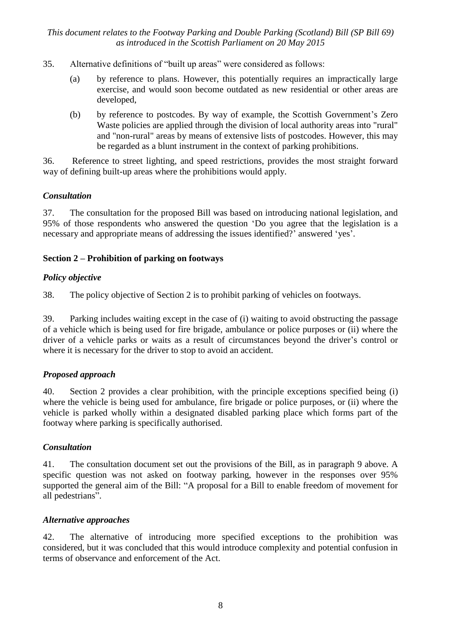- 35. Alternative definitions of "built up areas" were considered as follows:
	- (a) by reference to plans. However, this potentially requires an impractically large exercise, and would soon become outdated as new residential or other areas are developed,
	- (b) by reference to postcodes. By way of example, the Scottish Government's Zero Waste policies are applied through the division of local authority areas into "rural" and "non-rural" areas by means of extensive lists of postcodes. However, this may be regarded as a blunt instrument in the context of parking prohibitions.

36. Reference to street lighting, and speed restrictions, provides the most straight forward way of defining built-up areas where the prohibitions would apply.

#### *Consultation*

37. The consultation for the proposed Bill was based on introducing national legislation, and 95% of those respondents who answered the question ‗Do you agree that the legislation is a necessary and appropriate means of addressing the issues identified?' answered 'yes'.

# **Section 2 – Prohibition of parking on footways**

# *Policy objective*

38. The policy objective of Section 2 is to prohibit parking of vehicles on footways.

39. Parking includes waiting except in the case of (i) waiting to avoid obstructing the passage of a vehicle which is being used for fire brigade, ambulance or police purposes or (ii) where the driver of a vehicle parks or waits as a result of circumstances beyond the driver's control or where it is necessary for the driver to stop to avoid an accident.

# *Proposed approach*

40. Section 2 provides a clear prohibition, with the principle exceptions specified being (i) where the vehicle is being used for ambulance, fire brigade or police purposes, or (ii) where the vehicle is parked wholly within a designated disabled parking place which forms part of the footway where parking is specifically authorised.

# *Consultation*

41. The consultation document set out the provisions of the Bill, as in paragraph 9 above. A specific question was not asked on footway parking, however in the responses over 95% supported the general aim of the Bill: "A proposal for a Bill to enable freedom of movement for all pedestrians".

# *Alternative approaches*

42. The alternative of introducing more specified exceptions to the prohibition was considered, but it was concluded that this would introduce complexity and potential confusion in terms of observance and enforcement of the Act.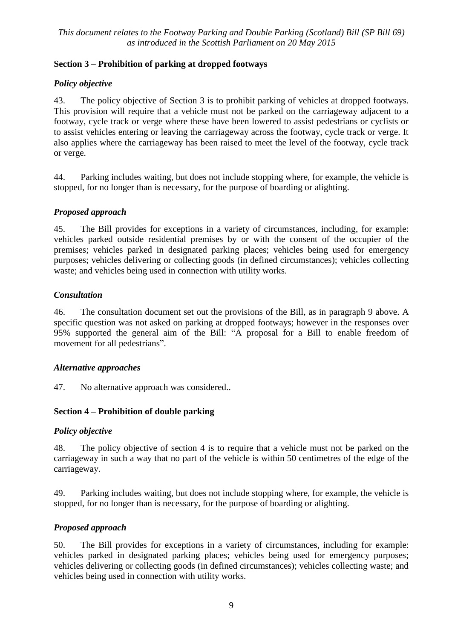# **Section 3 – Prohibition of parking at dropped footways**

# *Policy objective*

43. The policy objective of Section 3 is to prohibit parking of vehicles at dropped footways. This provision will require that a vehicle must not be parked on the carriageway adjacent to a footway, cycle track or verge where these have been lowered to assist pedestrians or cyclists or to assist vehicles entering or leaving the carriageway across the footway, cycle track or verge. It also applies where the carriageway has been raised to meet the level of the footway, cycle track or verge.

44. Parking includes waiting, but does not include stopping where, for example, the vehicle is stopped, for no longer than is necessary, for the purpose of boarding or alighting.

# *Proposed approach*

45. The Bill provides for exceptions in a variety of circumstances, including, for example: vehicles parked outside residential premises by or with the consent of the occupier of the premises; vehicles parked in designated parking places; vehicles being used for emergency purposes; vehicles delivering or collecting goods (in defined circumstances); vehicles collecting waste; and vehicles being used in connection with utility works.

# *Consultation*

46. The consultation document set out the provisions of the Bill, as in paragraph 9 above. A specific question was not asked on parking at dropped footways; however in the responses over 95% supported the general aim of the Bill: "A proposal for a Bill to enable freedom of movement for all pedestrians".

# *Alternative approaches*

47. No alternative approach was considered..

# **Section 4 – Prohibition of double parking**

# *Policy objective*

48. The policy objective of section 4 is to require that a vehicle must not be parked on the carriageway in such a way that no part of the vehicle is within 50 centimetres of the edge of the carriageway.

49. Parking includes waiting, but does not include stopping where, for example, the vehicle is stopped, for no longer than is necessary, for the purpose of boarding or alighting.

# *Proposed approach*

50. The Bill provides for exceptions in a variety of circumstances, including for example: vehicles parked in designated parking places; vehicles being used for emergency purposes; vehicles delivering or collecting goods (in defined circumstances); vehicles collecting waste; and vehicles being used in connection with utility works.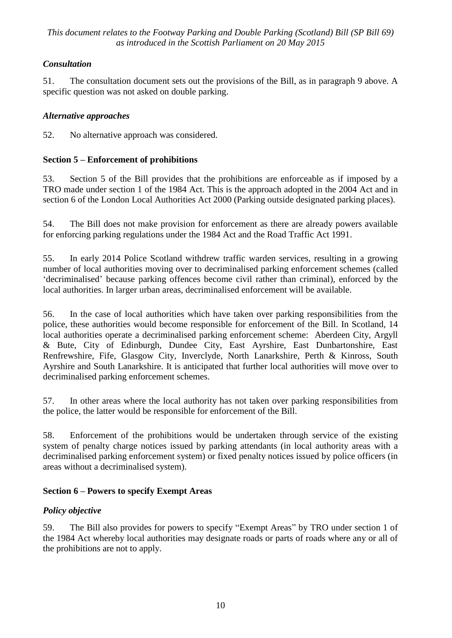# *Consultation*

51. The consultation document sets out the provisions of the Bill, as in paragraph 9 above. A specific question was not asked on double parking.

# *Alternative approaches*

52. No alternative approach was considered.

# **Section 5 – Enforcement of prohibitions**

53. Section 5 of the Bill provides that the prohibitions are enforceable as if imposed by a TRO made under section 1 of the 1984 Act. This is the approach adopted in the 2004 Act and in section 6 of the London Local Authorities Act 2000 (Parking outside designated parking places).

54. The Bill does not make provision for enforcement as there are already powers available for enforcing parking regulations under the 1984 Act and the Road Traffic Act 1991.

55. In early 2014 Police Scotland withdrew traffic warden services, resulting in a growing number of local authorities moving over to decriminalised parking enforcement schemes (called ‗decriminalised' because parking offences become civil rather than criminal), enforced by the local authorities. In larger urban areas, decriminalised enforcement will be available.

56. In the case of local authorities which have taken over parking responsibilities from the police, these authorities would become responsible for enforcement of the Bill. In Scotland, 14 local authorities operate a decriminalised parking enforcement scheme: Aberdeen City, Argyll & Bute, City of Edinburgh, Dundee City, East Ayrshire, East Dunbartonshire, East Renfrewshire, Fife, Glasgow City, Inverclyde, North Lanarkshire, Perth & Kinross, South Ayrshire and South Lanarkshire. It is anticipated that further local authorities will move over to decriminalised parking enforcement schemes.

57. In other areas where the local authority has not taken over parking responsibilities from the police, the latter would be responsible for enforcement of the Bill.

58. Enforcement of the prohibitions would be undertaken through service of the existing system of penalty charge notices issued by parking attendants (in local authority areas with a decriminalised parking enforcement system) or fixed penalty notices issued by police officers (in areas without a decriminalised system).

# **Section 6 – Powers to specify Exempt Areas**

# *Policy objective*

59. The Bill also provides for powers to specify "Exempt Areas" by TRO under section 1 of the 1984 Act whereby local authorities may designate roads or parts of roads where any or all of the prohibitions are not to apply.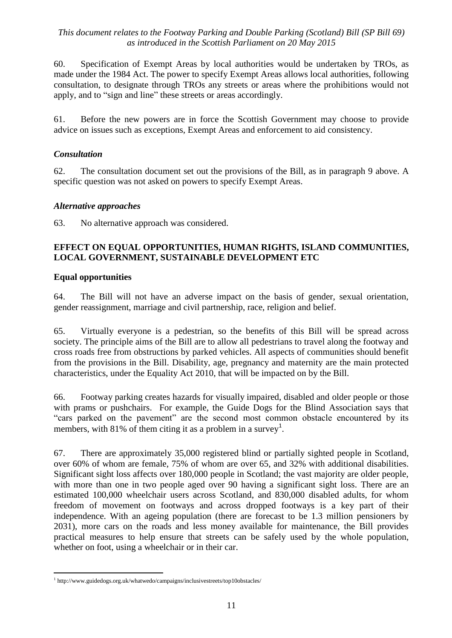60. Specification of Exempt Areas by local authorities would be undertaken by TROs, as made under the 1984 Act. The power to specify Exempt Areas allows local authorities, following consultation, to designate through TROs any streets or areas where the prohibitions would not apply, and to "sign and line" these streets or areas accordingly.

61. Before the new powers are in force the Scottish Government may choose to provide advice on issues such as exceptions, Exempt Areas and enforcement to aid consistency.

# *Consultation*

62. The consultation document set out the provisions of the Bill, as in paragraph 9 above. A specific question was not asked on powers to specify Exempt Areas.

# *Alternative approaches*

63. No alternative approach was considered.

# **EFFECT ON EQUAL OPPORTUNITIES, HUMAN RIGHTS, ISLAND COMMUNITIES, LOCAL GOVERNMENT, SUSTAINABLE DEVELOPMENT ETC**

# **Equal opportunities**

64. The Bill will not have an adverse impact on the basis of gender, sexual orientation, gender reassignment, marriage and civil partnership, race, religion and belief.

65. Virtually everyone is a pedestrian, so the benefits of this Bill will be spread across society. The principle aims of the Bill are to allow all pedestrians to travel along the footway and cross roads free from obstructions by parked vehicles. All aspects of communities should benefit from the provisions in the Bill. Disability, age, pregnancy and maternity are the main protected characteristics, under the Equality Act 2010, that will be impacted on by the Bill.

66. Footway parking creates hazards for visually impaired, disabled and older people or those with prams or pushchairs. For example, the Guide Dogs for the Blind Association says that "cars parked on the pavement" are the second most common obstacle encountered by its members, with 81% of them citing it as a problem in a survey<sup>1</sup>.

67. There are approximately 35,000 registered blind or partially sighted people in Scotland, over 60% of whom are female, 75% of whom are over 65, and 32% with additional disabilities. Significant sight loss affects over 180,000 people in Scotland; the vast majority are older people, with more than one in two people aged over 90 having a significant sight loss. There are an estimated 100,000 wheelchair users across Scotland, and 830,000 disabled adults, for whom freedom of movement on footways and across dropped footways is a key part of their independence. With an ageing population (there are forecast to be 1.3 million pensioners by 2031), more cars on the roads and less money available for maintenance, the Bill provides practical measures to help ensure that streets can be safely used by the whole population, whether on foot, using a wheelchair or in their car.

 $\overline{a}$ <sup>1</sup> http://www.guidedogs.org.uk/whatwedo/campaigns/inclusivestreets/top10obstacles/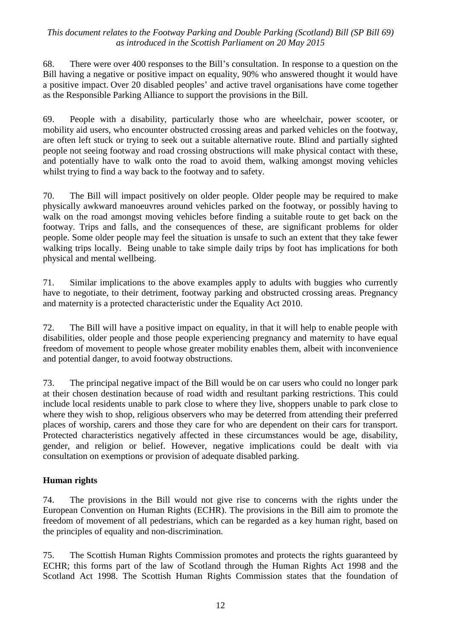68. There were over 400 responses to the Bill's consultation. In response to a question on the Bill having a negative or positive impact on equality, 90% who answered thought it would have a positive impact. Over 20 disabled peoples' and active travel organisations have come together as the Responsible Parking Alliance to support the provisions in the Bill.

69. People with a disability, particularly those who are wheelchair, power scooter, or mobility aid users, who encounter obstructed crossing areas and parked vehicles on the footway, are often left stuck or trying to seek out a suitable alternative route. Blind and partially sighted people not seeing footway and road crossing obstructions will make physical contact with these, and potentially have to walk onto the road to avoid them, walking amongst moving vehicles whilst trying to find a way back to the footway and to safety.

70. The Bill will impact positively on older people. Older people may be required to make physically awkward manoeuvres around vehicles parked on the footway, or possibly having to walk on the road amongst moving vehicles before finding a suitable route to get back on the footway. Trips and falls, and the consequences of these, are significant problems for older people. Some older people may feel the situation is unsafe to such an extent that they take fewer walking trips locally. Being unable to take simple daily trips by foot has implications for both physical and mental wellbeing.

71. Similar implications to the above examples apply to adults with buggies who currently have to negotiate, to their detriment, footway parking and obstructed crossing areas. Pregnancy and maternity is a protected characteristic under the Equality Act 2010.

72. The Bill will have a positive impact on equality, in that it will help to enable people with disabilities, older people and those people experiencing pregnancy and maternity to have equal freedom of movement to people whose greater mobility enables them, albeit with inconvenience and potential danger, to avoid footway obstructions.

73. The principal negative impact of the Bill would be on car users who could no longer park at their chosen destination because of road width and resultant parking restrictions. This could include local residents unable to park close to where they live, shoppers unable to park close to where they wish to shop, religious observers who may be deterred from attending their preferred places of worship, carers and those they care for who are dependent on their cars for transport. Protected characteristics negatively affected in these circumstances would be age, disability, gender, and religion or belief. However, negative implications could be dealt with via consultation on exemptions or provision of adequate disabled parking.

# **Human rights**

74. The provisions in the Bill would not give rise to concerns with the rights under the European Convention on Human Rights (ECHR). The provisions in the Bill aim to promote the freedom of movement of all pedestrians, which can be regarded as a key human right, based on the principles of equality and non-discrimination.

75. The Scottish Human Rights Commission promotes and protects the rights guaranteed by ECHR; this forms part of the law of Scotland through the Human Rights Act 1998 and the Scotland Act 1998. The Scottish Human Rights Commission states that the foundation of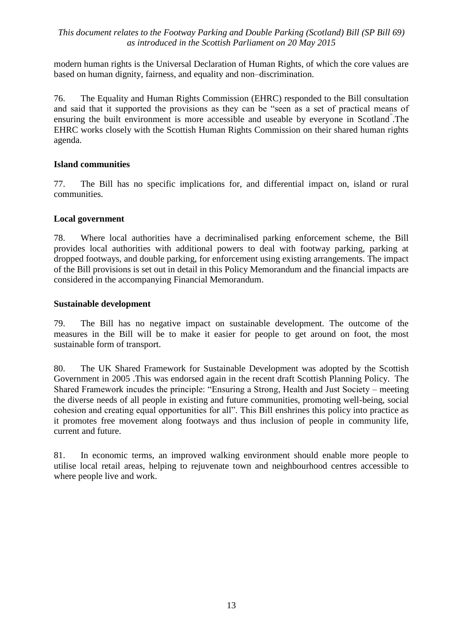modern human rights is the Universal Declaration of Human Rights, of which the core values are based on human dignity, fairness, and equality and non–discrimination.

76. The Equality and Human Rights Commission (EHRC) responded to the Bill consultation and said that it supported the provisions as they can be "seen as a set of practical means of ensuring the built environment is more accessible and useable by everyone in Scotland<sup>"</sup>. The EHRC works closely with the Scottish Human Rights Commission on their shared human rights agenda.

# **Island communities**

77. The Bill has no specific implications for, and differential impact on, island or rural communities.

#### **Local government**

78. Where local authorities have a decriminalised parking enforcement scheme, the Bill provides local authorities with additional powers to deal with footway parking, parking at dropped footways, and double parking, for enforcement using existing arrangements. The impact of the Bill provisions is set out in detail in this Policy Memorandum and the financial impacts are considered in the accompanying Financial Memorandum.

#### **Sustainable development**

79. The Bill has no negative impact on sustainable development. The outcome of the measures in the Bill will be to make it easier for people to get around on foot, the most sustainable form of transport.

80. The UK Shared Framework for Sustainable Development was adopted by the Scottish Government in 2005 .This was endorsed again in the recent draft Scottish Planning Policy. The Shared Framework incudes the principle: "Ensuring a Strong, Health and Just Society – meeting the diverse needs of all people in existing and future communities, promoting well-being, social cohesion and creating equal opportunities for all". This Bill enshrines this policy into practice as it promotes free movement along footways and thus inclusion of people in community life, current and future.

81. In economic terms, an improved walking environment should enable more people to utilise local retail areas, helping to rejuvenate town and neighbourhood centres accessible to where people live and work.